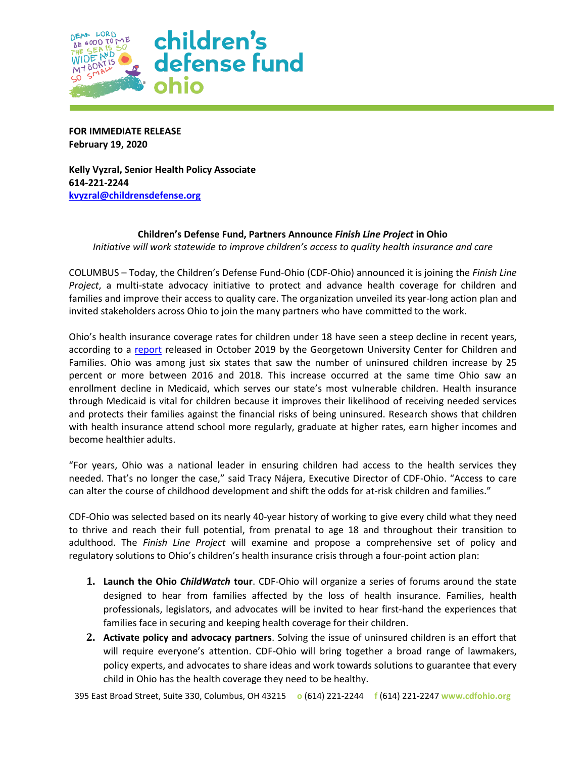

**FOR IMMEDIATE RELEASE February 19, 2020**

**Kelly Vyzral, Senior Health Policy Associate 614-221-2244 [kvyzral@childrensdefense.org](mailto:kvyzral@childrensdefense.org)**

## **Children's Defense Fund, Partners Announce** *Finish Line Project* **in Ohio**

*Initiative will work statewide to improve children's access to quality health insurance and care*

COLUMBUS – Today, the Children's Defense Fund-Ohio (CDF-Ohio) announced it is joining the *Finish Line Project*, a multi-state advocacy initiative to protect and advance health coverage for children and families and improve their access to quality care. The organization unveiled its year-long action plan and invited stakeholders across Ohio to join the many partners who have committed to the work.

Ohio's health insurance coverage rates for children under 18 have seen a steep decline in recent years, according to a [report](https://ccf.georgetown.edu/wp-content/uploads/2019/10/Uninsured-Kids-Report.pdf) released in October 2019 by the Georgetown University Center for Children and Families. Ohio was among just six states that saw the number of uninsured children increase by 25 percent or more between 2016 and 2018. This increase occurred at the same time Ohio saw an enrollment decline in Medicaid, which serves our state's most vulnerable children. Health insurance through Medicaid is vital for children because it improves their likelihood of receiving needed services and protects their families against the financial risks of being uninsured. Research shows that children with health insurance attend school more regularly, graduate at higher rates, earn higher incomes and become healthier adults.

"For years, Ohio was a national leader in ensuring children had access to the health services they needed. That's no longer the case," said Tracy Nájera, Executive Director of CDF-Ohio. "Access to care can alter the course of childhood development and shift the odds for at-risk children and families."

CDF-Ohio was selected based on its nearly 40-year history of working to give every child what they need to thrive and reach their full potential, from prenatal to age 18 and throughout their transition to adulthood. The *Finish Line Project* will examine and propose a comprehensive set of policy and regulatory solutions to Ohio's children's health insurance crisis through a four-point action plan:

- **1. Launch the Ohio** *ChildWatch* **tour**. CDF-Ohio will organize a series of forums around the state designed to hear from families affected by the loss of health insurance. Families, health professionals, legislators, and advocates will be invited to hear first-hand the experiences that families face in securing and keeping health coverage for their children.
- **2. Activate policy and advocacy partners**. Solving the issue of uninsured children is an effort that will require everyone's attention. CDF-Ohio will bring together a broad range of lawmakers, policy experts, and advocates to share ideas and work towards solutions to guarantee that every child in Ohio has the health coverage they need to be healthy.

395 East Broad Street, Suite 330, Columbus, OH 43215 **o** (614) 221-2244 **f** (614) 221-2247 **www.cdfohio.org**